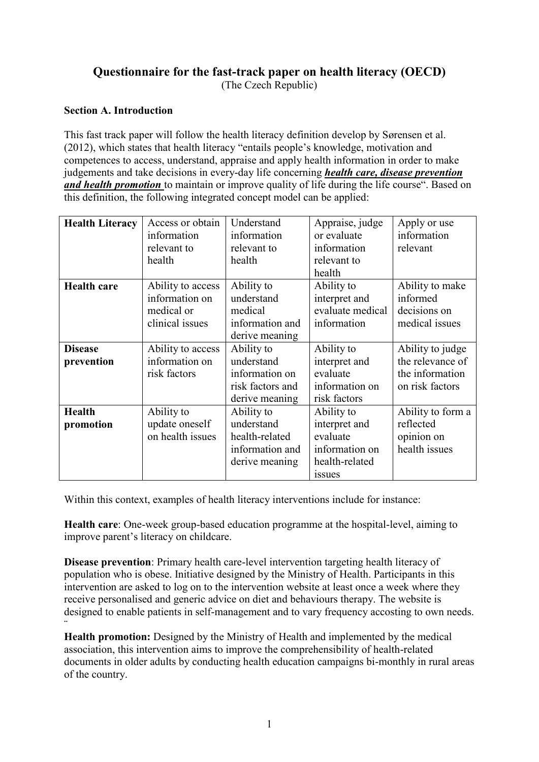# **Questionnaire for the fast-track paper on health literacy (OECD)** (The Czech Republic)

#### **Section A. Introduction**

This fast track paper will follow the health literacy definition develop by Sørensen et al. (2012), which states that health literacy "entails people's knowledge, motivation and competences to access, understand, appraise and apply health information in order to make judgements and take decisions in every-day life concerning *health care, disease prevention and health promotion* to maintain or improve quality of life during the life course". Based on this definition, the following integrated concept model can be applied:

| <b>Health Literacy</b>       | Access or obtain<br>information<br>relevant to<br>health             | Understand<br>information<br>relevant to<br>health                               | Appraise, judge<br>or evaluate<br>information<br>relevant to<br>health                       | Apply or use<br>information<br>relevant                                    |
|------------------------------|----------------------------------------------------------------------|----------------------------------------------------------------------------------|----------------------------------------------------------------------------------------------|----------------------------------------------------------------------------|
| <b>Health care</b>           | Ability to access<br>information on<br>medical or<br>clinical issues | Ability to<br>understand<br>medical<br>information and<br>derive meaning         | Ability to<br>interpret and<br>evaluate medical<br>information                               | Ability to make<br>informed<br>decisions on<br>medical issues              |
| <b>Disease</b><br>prevention | Ability to access<br>information on<br>risk factors                  | Ability to<br>understand<br>information on<br>risk factors and<br>derive meaning | Ability to<br>interpret and<br>evaluate<br>information on<br>risk factors                    | Ability to judge<br>the relevance of<br>the information<br>on risk factors |
| <b>Health</b><br>promotion   | Ability to<br>update oneself<br>on health issues                     | Ability to<br>understand<br>health-related<br>information and<br>derive meaning  | Ability to<br>interpret and<br>evaluate<br>information on<br>health-related<br><i>issues</i> | Ability to form a<br>reflected<br>opinion on<br>health issues              |

Within this context, examples of health literacy interventions include for instance:

**Health care**: One-week group-based education programme at the hospital-level, aiming to improve parent's literacy on childcare.

**Disease prevention**: Primary health care-level intervention targeting health literacy of population who is obese. Initiative designed by the Ministry of Health. Participants in this intervention are asked to log on to the intervention website at least once a week where they receive personalised and generic advice on diet and behaviours therapy. The website is designed to enable patients in self-management and to vary frequency accosting to own needs. ¨

**Health promotion:** Designed by the Ministry of Health and implemented by the medical association, this intervention aims to improve the comprehensibility of health-related documents in older adults by conducting health education campaigns bi-monthly in rural areas of the country.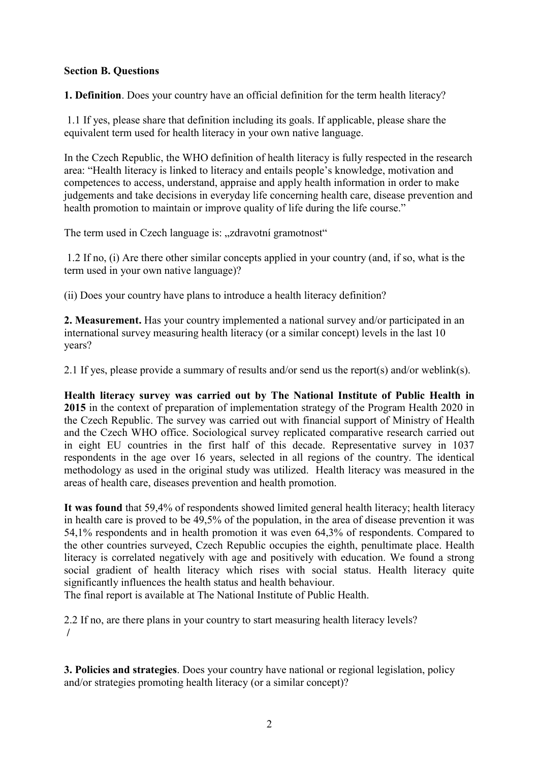### **Section B. Questions**

**1. Definition**. Does your country have an official definition for the term health literacy?

1.1 If yes, please share that definition including its goals. If applicable, please share the equivalent term used for health literacy in your own native language.

In the Czech Republic, the WHO definition of health literacy is fully respected in the research area: "Health literacy is linked to literacy and entails people's knowledge, motivation and competences to access, understand, appraise and apply health information in order to make judgements and take decisions in everyday life concerning health care, disease prevention and health promotion to maintain or improve quality of life during the life course."

The term used in Czech language is: "zdravotní gramotnost"

1.2 If no, (i) Are there other similar concepts applied in your country (and, if so, what is the term used in your own native language)?

(ii) Does your country have plans to introduce a health literacy definition?

**2. Measurement.** Has your country implemented a national survey and/or participated in an international survey measuring health literacy (or a similar concept) levels in the last 10 years?

2.1 If yes, please provide a summary of results and/or send us the report(s) and/or weblink(s).

**Health literacy survey was carried out by The National Institute of Public Health in 2015** in the context of preparation of implementation strategy of the Program Health 2020 in the Czech Republic. The survey was carried out with financial support of Ministry of Health and the Czech WHO office. Sociological survey replicated comparative research carried out in eight EU countries in the first half of this decade. Representative survey in 1037 respondents in the age over 16 years, selected in all regions of the country. The identical methodology as used in the original study was utilized. Health literacy was measured in the areas of health care, diseases prevention and health promotion.

**It was found** that 59,4% of respondents showed limited general health literacy; health literacy in health care is proved to be 49,5% of the population, in the area of disease prevention it was 54,1% respondents and in health promotion it was even 64,3% of respondents. Compared to the other countries surveyed, Czech Republic occupies the eighth, penultimate place. Health literacy is correlated negatively with age and positively with education. We found a strong social gradient of health literacy which rises with social status. Health literacy quite significantly influences the health status and health behaviour.

The final report is available at The National Institute of Public Health.

2.2 If no, are there plans in your country to start measuring health literacy levels? **/**

**3. Policies and strategies**. Does your country have national or regional legislation, policy and/or strategies promoting health literacy (or a similar concept)?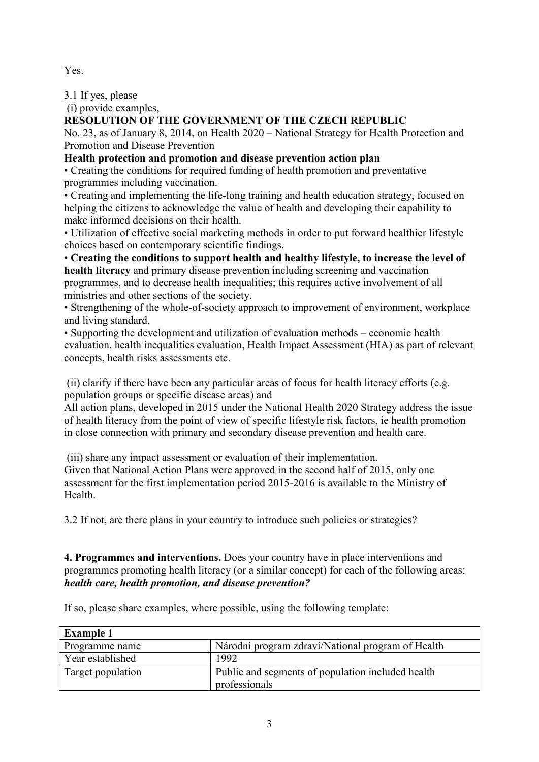Yes.

3.1 If yes, please

(i) provide examples,

# **RESOLUTION OF THE GOVERNMENT OF THE CZECH REPUBLIC**

No. 23, as of January 8, 2014, on Health 2020 – National Strategy for Health Protection and Promotion and Disease Prevention

## **Health protection and promotion and disease prevention action plan**

• Creating the conditions for required funding of health promotion and preventative programmes including vaccination.

• Creating and implementing the life-long training and health education strategy, focused on helping the citizens to acknowledge the value of health and developing their capability to make informed decisions on their health.

• Utilization of effective social marketing methods in order to put forward healthier lifestyle choices based on contemporary scientific findings.

• **Creating the conditions to support health and healthy lifestyle, to increase the level of health literacy** and primary disease prevention including screening and vaccination programmes, and to decrease health inequalities; this requires active involvement of all ministries and other sections of the society.

• Strengthening of the whole-of-society approach to improvement of environment, workplace and living standard.

• Supporting the development and utilization of evaluation methods – economic health evaluation, health inequalities evaluation, Health Impact Assessment (HIA) as part of relevant concepts, health risks assessments etc.

(ii) clarify if there have been any particular areas of focus for health literacy efforts (e.g. population groups or specific disease areas) and

All action plans, developed in 2015 under the National Health 2020 Strategy address the issue of health literacy from the point of view of specific lifestyle risk factors, ie health promotion in close connection with primary and secondary disease prevention and health care.

(iii) share any impact assessment or evaluation of their implementation. Given that National Action Plans were approved in the second half of 2015, only one assessment for the first implementation period 2015-2016 is available to the Ministry of Health.

3.2 If not, are there plans in your country to introduce such policies or strategies?

### **4. Programmes and interventions.** Does your country have in place interventions and programmes promoting health literacy (or a similar concept) for each of the following areas: *health care, health promotion, and disease prevention?*

If so, please share examples, where possible, using the following template:

| <b>Example 1</b>  |                                                   |
|-------------------|---------------------------------------------------|
| Programme name    | Národní program zdraví/National program of Health |
| Year established  | 1992                                              |
| Target population | Public and segments of population included health |
|                   | professionals                                     |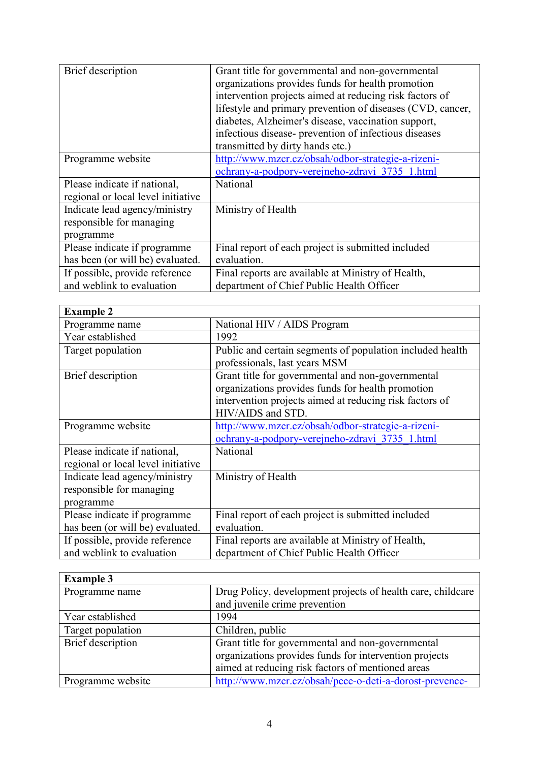| Brief description                  | Grant title for governmental and non-governmental<br>organizations provides funds for health promotion<br>intervention projects aimed at reducing risk factors of<br>lifestyle and primary prevention of diseases (CVD, cancer,<br>diabetes, Alzheimer's disease, vaccination support, |
|------------------------------------|----------------------------------------------------------------------------------------------------------------------------------------------------------------------------------------------------------------------------------------------------------------------------------------|
|                                    | infectious disease- prevention of infectious diseases                                                                                                                                                                                                                                  |
|                                    | transmitted by dirty hands etc.)                                                                                                                                                                                                                                                       |
| Programme website                  | http://www.mzcr.cz/obsah/odbor-strategie-a-rizeni-                                                                                                                                                                                                                                     |
|                                    | ochrany-a-podpory-verejneho-zdravi 3735 1.html                                                                                                                                                                                                                                         |
| Please indicate if national,       | National                                                                                                                                                                                                                                                                               |
| regional or local level initiative |                                                                                                                                                                                                                                                                                        |
| Indicate lead agency/ministry      | Ministry of Health                                                                                                                                                                                                                                                                     |
| responsible for managing           |                                                                                                                                                                                                                                                                                        |
| programme                          |                                                                                                                                                                                                                                                                                        |
| Please indicate if programme       | Final report of each project is submitted included                                                                                                                                                                                                                                     |
| has been (or will be) evaluated.   | evaluation.                                                                                                                                                                                                                                                                            |
| If possible, provide reference     | Final reports are available at Ministry of Health,                                                                                                                                                                                                                                     |
| and weblink to evaluation          | department of Chief Public Health Officer                                                                                                                                                                                                                                              |

| <b>Example 2</b>                                                       |                                                                                                                                                                                        |
|------------------------------------------------------------------------|----------------------------------------------------------------------------------------------------------------------------------------------------------------------------------------|
| Programme name                                                         | National HIV / AIDS Program                                                                                                                                                            |
| Year established                                                       | 1992                                                                                                                                                                                   |
| Target population                                                      | Public and certain segments of population included health<br>professionals, last years MSM                                                                                             |
| Brief description                                                      | Grant title for governmental and non-governmental<br>organizations provides funds for health promotion<br>intervention projects aimed at reducing risk factors of<br>HIV/AIDS and STD. |
| Programme website                                                      | http://www.mzcr.cz/obsah/odbor-strategie-a-rizeni-<br>ochrany-a-podpory-verejneho-zdravi 3735 1.html                                                                                   |
| Please indicate if national,<br>regional or local level initiative     | National                                                                                                                                                                               |
| Indicate lead agency/ministry<br>responsible for managing<br>programme | Ministry of Health                                                                                                                                                                     |
| Please indicate if programme<br>has been (or will be) evaluated.       | Final report of each project is submitted included<br>evaluation.                                                                                                                      |
| If possible, provide reference<br>and weblink to evaluation            | Final reports are available at Ministry of Health,<br>department of Chief Public Health Officer                                                                                        |

| <b>Example 3</b>  |                                                             |
|-------------------|-------------------------------------------------------------|
| Programme name    | Drug Policy, development projects of health care, childcare |
|                   | and juvenile crime prevention                               |
| Year established  | 1994                                                        |
| Target population | Children, public                                            |
| Brief description | Grant title for governmental and non-governmental           |
|                   | organizations provides funds for intervention projects      |
|                   | aimed at reducing risk factors of mentioned areas           |
| Programme website | http://www.mzcr.cz/obsah/pece-o-deti-a-dorost-prevence-     |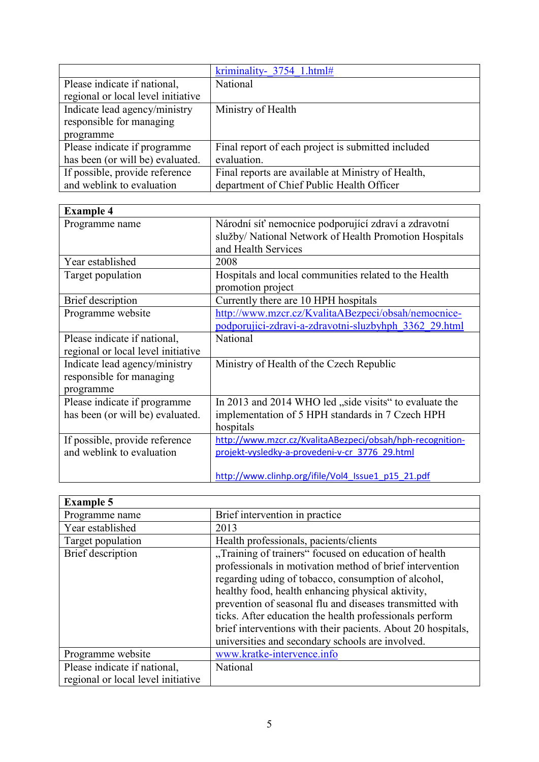|                                    | kriminality- 3754 1.html#                          |
|------------------------------------|----------------------------------------------------|
| Please indicate if national,       | National                                           |
| regional or local level initiative |                                                    |
| Indicate lead agency/ministry      | Ministry of Health                                 |
| responsible for managing           |                                                    |
| programme                          |                                                    |
| Please indicate if programme       | Final report of each project is submitted included |
| has been (or will be) evaluated.   | evaluation.                                        |
| If possible, provide reference     | Final reports are available at Ministry of Health, |
| and weblink to evaluation          | department of Chief Public Health Officer          |

| <b>Example 4</b>                   |                                                           |
|------------------------------------|-----------------------------------------------------------|
| Programme name                     | Národní síť nemocnice podporující zdraví a zdravotní      |
|                                    | služby/ National Network of Health Promotion Hospitals    |
|                                    | and Health Services                                       |
| Year established                   | 2008                                                      |
| Target population                  | Hospitals and local communities related to the Health     |
|                                    | promotion project                                         |
| Brief description                  | Currently there are 10 HPH hospitals                      |
| Programme website                  | http://www.mzcr.cz/KvalitaABezpeci/obsah/nemocnice-       |
|                                    | podporujici-zdravi-a-zdravotni-sluzbyhph 3362 29.html     |
| Please indicate if national,       | National                                                  |
| regional or local level initiative |                                                           |
| Indicate lead agency/ministry      | Ministry of Health of the Czech Republic                  |
| responsible for managing           |                                                           |
| programme                          |                                                           |
| Please indicate if programme       | In 2013 and 2014 WHO led "side visits" to evaluate the    |
| has been (or will be) evaluated.   | implementation of 5 HPH standards in 7 Czech HPH          |
|                                    | hospitals                                                 |
| If possible, provide reference     | http://www.mzcr.cz/KvalitaABezpeci/obsah/hph-recognition- |
| and weblink to evaluation          | projekt-vysledky-a-provedeni-v-cr 3776 29.html            |
|                                    |                                                           |
|                                    | http://www.clinhp.org/ifile/Vol4 Issue1 p15 21.pdf        |

| <b>Example 5</b>                                                   |                                                                                                                                                                                                                                                                                                                                                                                                                                                                          |
|--------------------------------------------------------------------|--------------------------------------------------------------------------------------------------------------------------------------------------------------------------------------------------------------------------------------------------------------------------------------------------------------------------------------------------------------------------------------------------------------------------------------------------------------------------|
| Programme name                                                     | Brief intervention in practice                                                                                                                                                                                                                                                                                                                                                                                                                                           |
| Year established                                                   | 2013                                                                                                                                                                                                                                                                                                                                                                                                                                                                     |
| Target population                                                  | Health professionals, pacients/clients                                                                                                                                                                                                                                                                                                                                                                                                                                   |
| <b>Brief</b> description                                           | "Training of trainers" focused on education of health<br>professionals in motivation method of brief intervention<br>regarding uding of tobacco, consumption of alcohol,<br>healthy food, health enhancing physical aktivity,<br>prevention of seasonal flu and diseases transmitted with<br>ticks. After education the health professionals perform<br>brief interventions with their pacients. About 20 hospitals,<br>universities and secondary schools are involved. |
| Programme website                                                  | www.kratke-intervence.info                                                                                                                                                                                                                                                                                                                                                                                                                                               |
| Please indicate if national,<br>regional or local level initiative | National                                                                                                                                                                                                                                                                                                                                                                                                                                                                 |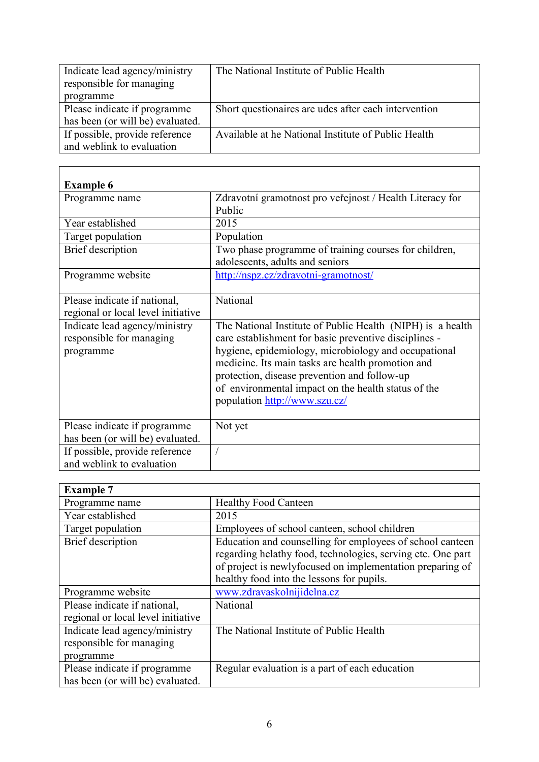| Indicate lead agency/ministry    | The National Institute of Public Health              |
|----------------------------------|------------------------------------------------------|
| responsible for managing         |                                                      |
| programme                        |                                                      |
| Please indicate if programme     | Short questionaires are udes after each intervention |
| has been (or will be) evaluated. |                                                      |
| If possible, provide reference   | Available at he National Institute of Public Health  |
| and weblink to evaluation        |                                                      |

| <b>Example 6</b>                                                       |                                                                                                                                                                                                                                                                                                                                                                          |
|------------------------------------------------------------------------|--------------------------------------------------------------------------------------------------------------------------------------------------------------------------------------------------------------------------------------------------------------------------------------------------------------------------------------------------------------------------|
| Programme name                                                         | Zdravotní gramotnost pro veřejnost / Health Literacy for<br>Public                                                                                                                                                                                                                                                                                                       |
| Year established                                                       | 2015                                                                                                                                                                                                                                                                                                                                                                     |
| Target population                                                      | Population                                                                                                                                                                                                                                                                                                                                                               |
| Brief description                                                      | Two phase programme of training courses for children,<br>adolescents, adults and seniors                                                                                                                                                                                                                                                                                 |
| Programme website                                                      | http://nspz.cz/zdravotni-gramotnost/                                                                                                                                                                                                                                                                                                                                     |
| Please indicate if national,<br>regional or local level initiative     | National                                                                                                                                                                                                                                                                                                                                                                 |
| Indicate lead agency/ministry<br>responsible for managing<br>programme | The National Institute of Public Health (NIPH) is a health<br>care establishment for basic preventive disciplines -<br>hygiene, epidemiology, microbiology and occupational<br>medicine. Its main tasks are health promotion and<br>protection, disease prevention and follow-up<br>of environmental impact on the health status of the<br>population http://www.szu.cz/ |
| Please indicate if programme<br>has been (or will be) evaluated.       | Not yet                                                                                                                                                                                                                                                                                                                                                                  |
| If possible, provide reference<br>and weblink to evaluation            |                                                                                                                                                                                                                                                                                                                                                                          |

| <b>Example 7</b>                   |                                                             |
|------------------------------------|-------------------------------------------------------------|
| Programme name                     | <b>Healthy Food Canteen</b>                                 |
| Year established                   | 2015                                                        |
| Target population                  | Employees of school canteen, school children                |
| <b>Brief</b> description           | Education and counselling for employees of school canteen   |
|                                    | regarding helathy food, technologies, serving etc. One part |
|                                    | of project is newlyfocused on implementation preparing of   |
|                                    | healthy food into the lessons for pupils.                   |
| Programme website                  | www.zdravaskolnijidelna.cz                                  |
| Please indicate if national,       | National                                                    |
| regional or local level initiative |                                                             |
| Indicate lead agency/ministry      | The National Institute of Public Health                     |
| responsible for managing           |                                                             |
| programme                          |                                                             |
| Please indicate if programme       | Regular evaluation is a part of each education              |
| has been (or will be) evaluated.   |                                                             |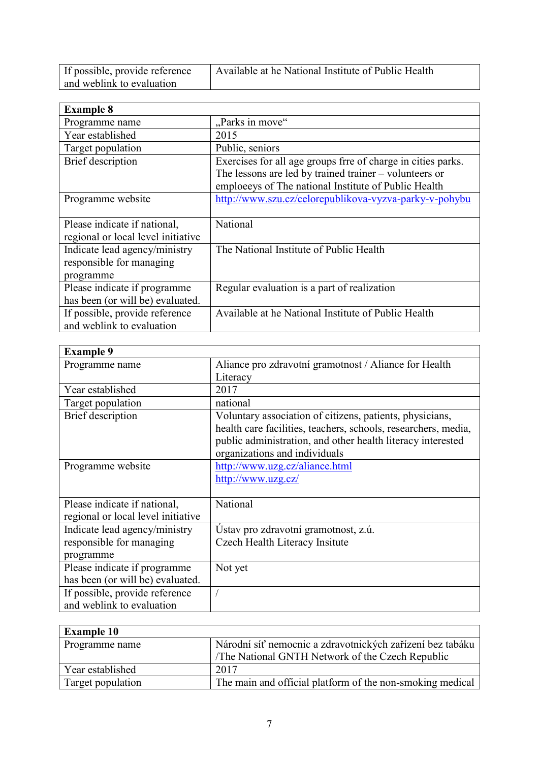| If possible, provide reference | Available at he National Institute of Public Health |
|--------------------------------|-----------------------------------------------------|
| and weblink to evaluation      |                                                     |

| <b>Example 8</b>                   |                                                              |
|------------------------------------|--------------------------------------------------------------|
| Programme name                     | "Parks in move"                                              |
| Year established                   | 2015                                                         |
| Target population                  | Public, seniors                                              |
| Brief description                  | Exercises for all age groups frre of charge in cities parks. |
|                                    | The lessons are led by trained trainer $-$ volunteers or     |
|                                    | emploeeys of The national Institute of Public Health         |
| Programme website                  | http://www.szu.cz/celorepublikova-vyzva-parky-v-pohybu       |
|                                    |                                                              |
| Please indicate if national,       | National                                                     |
| regional or local level initiative |                                                              |
| Indicate lead agency/ministry      | The National Institute of Public Health                      |
| responsible for managing           |                                                              |
| programme                          |                                                              |
| Please indicate if programme       | Regular evaluation is a part of realization                  |
| has been (or will be) evaluated.   |                                                              |
| If possible, provide reference     | Available at he National Institute of Public Health          |
| and weblink to evaluation          |                                                              |

| <b>Example 9</b>                   |                                                                |
|------------------------------------|----------------------------------------------------------------|
| Programme name                     | Aliance pro zdravotní gramotnost / Aliance for Health          |
|                                    | Literacy                                                       |
| Year established                   | 2017                                                           |
| Target population                  | national                                                       |
| <b>Brief</b> description           | Voluntary association of citizens, patients, physicians,       |
|                                    | health care facilities, teachers, schools, researchers, media, |
|                                    | public administration, and other health literacy interested    |
|                                    | organizations and individuals                                  |
| Programme website                  | http://www.uzg.cz/aliance.html                                 |
|                                    | http://www.uzg.cz/                                             |
|                                    |                                                                |
| Please indicate if national,       | National                                                       |
| regional or local level initiative |                                                                |
| Indicate lead agency/ministry      | Ustav pro zdravotní gramotnost, z.ú.                           |
| responsible for managing           | Czech Health Literacy Insitute                                 |
| programme                          |                                                                |
| Please indicate if programme       | Not yet                                                        |
| has been (or will be) evaluated.   |                                                                |
| If possible, provide reference     |                                                                |
| and weblink to evaluation          |                                                                |

| <b>Example 10</b> |                                                           |
|-------------------|-----------------------------------------------------------|
| Programme name    | Národní síť nemocnic a zdravotnických zařízení bez tabáku |
|                   | The National GNTH Network of the Czech Republic           |
| Year established  | 2017                                                      |
| Target population | The main and official platform of the non-smoking medical |